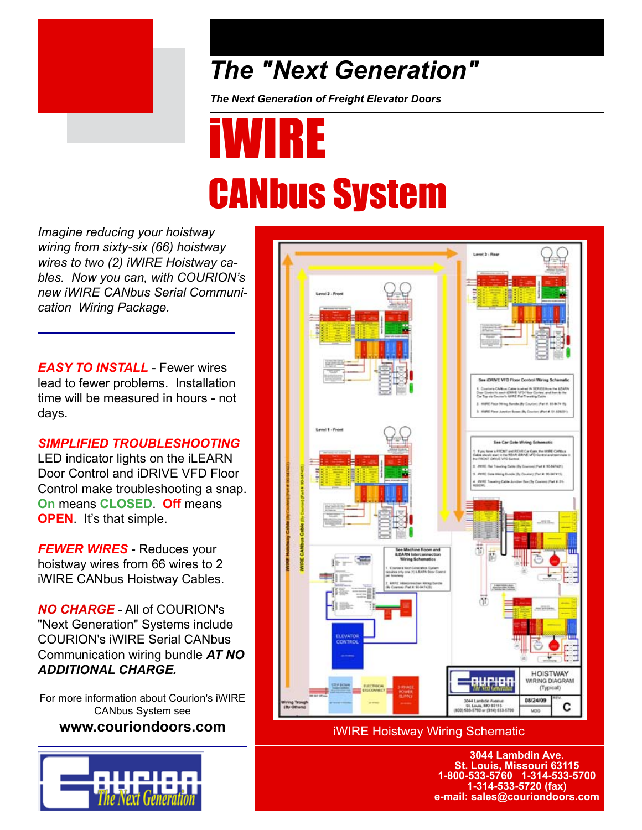

### *The "Next Generation"*

*The Next Generation of Freight Elevator Doors*

## iWIRE CANbus System

*Imagine reducing your hoistway wiring from sixty-six (66) hoistway wires to two (2) iWIRE Hoistway cables. Now you can, with COURION's new iWIRE CANbus Serial Communication Wiring Package.*

*EASY TO INSTALL* - Fewer wires lead to fewer problems. Installation time will be measured in hours - not days.

#### *SIMPLIFIED TROUBLESHOOTING*

LED indicator lights on the iLEARN Door Control and iDRIVE VFD Floor Control make troubleshooting a snap. **On** means **CLOSED**. **Off** means **OPEN**. It's that simple.

*FEWER WIRES* - Reduces your hoistway wires from 66 wires to 2 iWIRE CANbus Hoistway Cables.

*NO CHARGE* - All of COURION's "Next Generation" Systems include COURION's iWIRE Serial CANbus Communication wiring bundle *AT NO ADDITIONAL CHARGE.*

For more information about Courion's iWIRE CANbus System see **www.couriondoors.com**





iWIRE Hoistway Wiring Schematic

**3044 Lambdin Ave. St. Louis, Missouri 63115 1-800-533-5760 1-314-533-5700 1-314-533-5720 (fax) e-mail: sales@couriondoors.com**